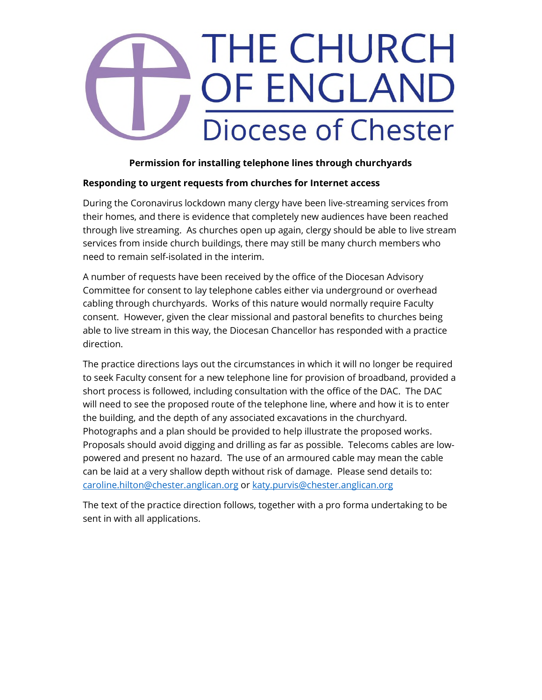# **THE CHURCH** OF ENGLAND Diocese of Chester

### **Permission for installing telephone lines through churchyards**

### **Responding to urgent requests from churches for Internet access**

During the Coronavirus lockdown many clergy have been live-streaming services from their homes, and there is evidence that completely new audiences have been reached through live streaming. As churches open up again, clergy should be able to live stream services from inside church buildings, there may still be many church members who need to remain self-isolated in the interim.

A number of requests have been received by the office of the Diocesan Advisory Committee for consent to lay telephone cables either via underground or overhead cabling through churchyards. Works of this nature would normally require Faculty consent. However, given the clear missional and pastoral benefits to churches being able to live stream in this way, the Diocesan Chancellor has responded with a practice direction.

The practice directions lays out the circumstances in which it will no longer be required to seek Faculty consent for a new telephone line for provision of broadband, provided a short process is followed, including consultation with the office of the DAC. The DAC will need to see the proposed route of the telephone line, where and how it is to enter the building, and the depth of any associated excavations in the churchyard. Photographs and a plan should be provided to help illustrate the proposed works. Proposals should avoid digging and drilling as far as possible. Telecoms cables are lowpowered and present no hazard. The use of an armoured cable may mean the cable can be laid at a very shallow depth without risk of damage. Please send details to: caroline.hilton@chester.anglican.org or katy.purvis@chester.anglican.org

The text of the practice direction follows, together with a pro forma undertaking to be sent in with all applications.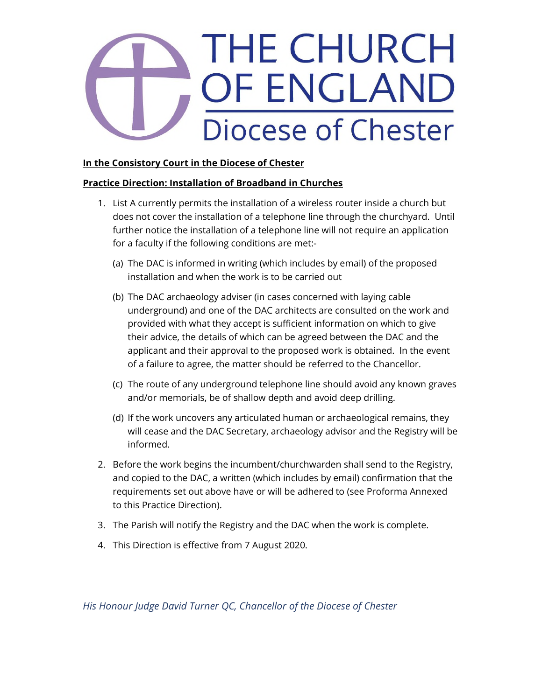# THE CHURCH OF ENGLAND Diocese of Chester

### **In the Consistory Court in the Diocese of Chester**

#### **Practice Direction: Installation of Broadband in Churches**

- 1. List A currently permits the installation of a wireless router inside a church but does not cover the installation of a telephone line through the churchyard. Until further notice the installation of a telephone line will not require an application for a faculty if the following conditions are met:-
	- (a) The DAC is informed in writing (which includes by email) of the proposed installation and when the work is to be carried out
	- (b) The DAC archaeology adviser (in cases concerned with laying cable underground) and one of the DAC architects are consulted on the work and provided with what they accept is sufficient information on which to give their advice, the details of which can be agreed between the DAC and the applicant and their approval to the proposed work is obtained. In the event of a failure to agree, the matter should be referred to the Chancellor.
	- (c) The route of any underground telephone line should avoid any known graves and/or memorials, be of shallow depth and avoid deep drilling.
	- (d) If the work uncovers any articulated human or archaeological remains, they will cease and the DAC Secretary, archaeology advisor and the Registry will be informed.
- 2. Before the work begins the incumbent/churchwarden shall send to the Registry, and copied to the DAC, a written (which includes by email) confirmation that the requirements set out above have or will be adhered to (see Proforma Annexed to this Practice Direction).
- 3. The Parish will notify the Registry and the DAC when the work is complete.
- 4. This Direction is effective from 7 August 2020.

*His Honour Judge David Turner QC, Chancellor of the Diocese of Chester*